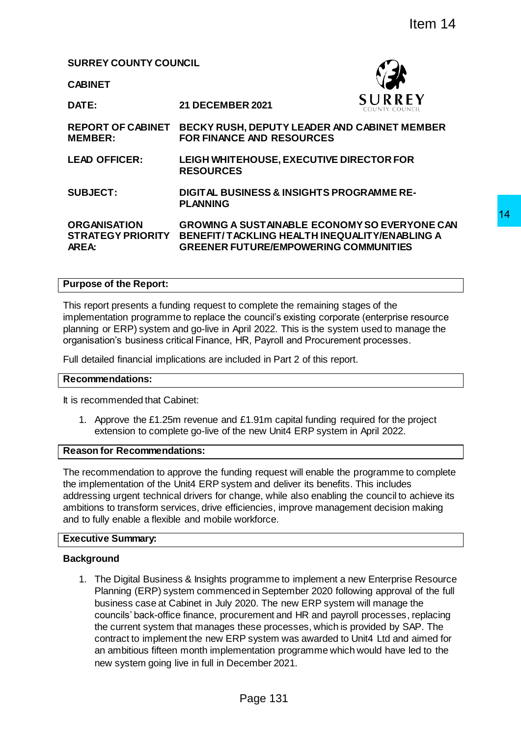**SURREY COUNTY COUNCIL**

**CABINET**

**DATE: 21 DECEMBER 2021 REPORT OF CABINET BECKY RUSH, DEPUTY LEADER AND CABINET MEMBER MEMBER: FOR FINANCE AND RESOURCES LEAD OFFICER: LEIGH WHITEHOUSE, EXECUTIVE DIRECTOR FOR RESOURCES SUBJECT: DIGITAL BUSINESS & INSIGHTS PROGRAMME RE-PLANNING ORGANISATION STRATEGY PRIORITY AREA: GROWING A SUSTAINABLE ECONOMY SO EVERYONE CAN BENEFIT/ TACKLING HEALTH INEQUALITY/ENABLING A GREENER FUTURE/EMPOWERING COMMUNITIES** THE SET WARE THE SET WANT AND THE SET AND RELEASE AND CASHINGT ARE AND RESOURCES AND CASHINGT MEMBER AND RESOURCES THOUSE INTO THE SURFACT OF SAME CONDUCT THE SURFACT OF A CONDUCT THE SURFACT OF A CONDUCT THE SURFACT OF A

## **Purpose of the Report:**

This report presents a funding request to complete the remaining stages of the implementation programme to replace the council's existing corporate (enterprise resource planning or ERP) system and go-live in April 2022. This is the system used to manage the organisation's business critical Finance, HR, Payroll and Procurement processes.

Full detailed financial implications are included in Part 2 of this report.

#### **Recommendations:**

It is recommended that Cabinet:

1. Approve the £1.25m revenue and £1.91m capital funding required for the project extension to complete go-live of the new Unit4 ERP system in April 2022.

### **Reason for Recommendations:**

The recommendation to approve the funding request will enable the programme to complete the implementation of the Unit4 ERP system and deliver its benefits. This includes addressing urgent technical drivers for change, while also enabling the council to achieve its ambitions to transform services, drive efficiencies, improve management decision making and to fully enable a flexible and mobile workforce.

#### **Executive Summary:**

## **Background**

1. The Digital Business & Insights programme to implement a new Enterprise Resource Planning (ERP) system commenced in September 2020 following approval of the full business case at Cabinet in July 2020. The new ERP system will manage the councils' back-office finance, procurement and HR and payroll processes, replacing the current system that manages these processes, which is provided by SAP. The contract to implement the new ERP system was awarded to Unit4 Ltd and aimed for an ambitious fifteen month implementation programme which would have led to the new system going live in full in December 2021.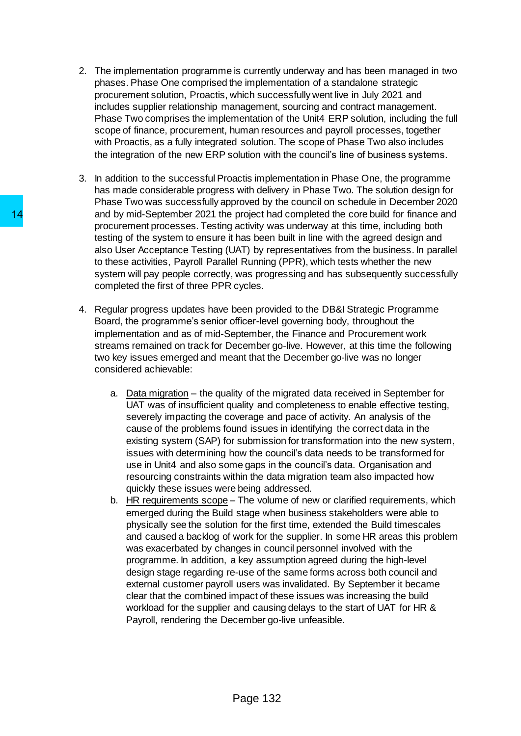- 2. The implementation programme is currently underway and has been managed in two phases. Phase One comprised the implementation of a standalone strategic procurement solution, Proactis, which successfully went live in July 2021 and includes supplier relationship management, sourcing and contract management. Phase Two comprises the implementation of the Unit4 ERP solution, including the full scope of finance, procurement, human resources and payroll processes, together with Proactis, as a fully integrated solution. The scope of Phase Two also includes the integration of the new ERP solution with the council's line of business systems.
- 3. In addition to the successful Proactis implementation in Phase One, the programme has made considerable progress with delivery in Phase Two. The solution design for Phase Two was successfully approved by the council on schedule in December 2020 and by mid-September 2021 the project had completed the core build for finance and procurement processes. Testing activity was underway at this time, including both testing of the system to ensure it has been built in line with the agreed design and also User Acceptance Testing (UAT) by representatives from the business. In parallel to these activities, Payroll Parallel Running (PPR), which tests whether the new system will pay people correctly, was progressing and has subsequently successfully completed the first of three PPR cycles.
- 4. Regular progress updates have been provided to the DB&I Strategic Programme Board, the programme's senior officer-level governing body, throughout the implementation and as of mid-September, the Finance and Procurement work streams remained on track for December go-live. However, at this time the following two key issues emerged and meant that the December go-live was no longer considered achievable:
	- a. Data migration the quality of the migrated data received in September for UAT was of insufficient quality and completeness to enable effective testing, severely impacting the coverage and pace of activity. An analysis of the cause of the problems found issues in identifying the correct data in the existing system (SAP) for submission for transformation into the new system, issues with determining how the council's data needs to be transformed for use in Unit4 and also some gaps in the council's data. Organisation and resourcing constraints within the data migration team also impacted how quickly these issues were being addressed.
- b. HR requirements scope The volume of new or clarified requirements, which emerged during the Build stage when business stakeholders were able to physically see the solution for the first time, extended the Build timescales and caused a backlog of work for the supplier. In some HR areas this problem was exacerbated by changes in council personnel involved with the programme. In addition, a key assumption agreed during the high-level design stage regarding re-use of the same forms across both council and external customer payroll users was invalidated. By September it became clear that the combined impact of these issues was increasing the build workload for the supplier and causing delays to the start of UAT for HR & Payroll, rendering the December go-live unfeasible. 14<br>and by mid-September 2021 the project had by mortement processes. Testing activity was<br>testing of the system to ensure it has been based user Acceptance Testing (UAT) by reps<br>testing of the system to ensure it has been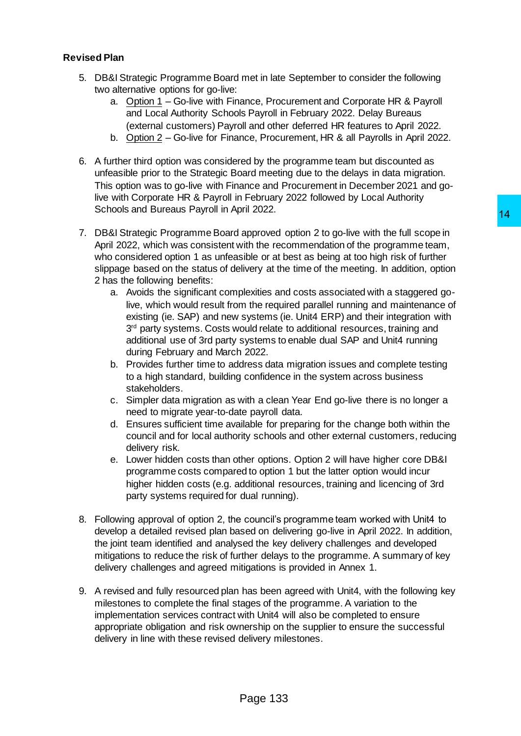# **Revised Plan**

- 5. DB&I Strategic Programme Board met in late September to consider the following two alternative options for go-live:
	- a. Option 1 Go-live with Finance, Procurement and Corporate HR & Payroll and Local Authority Schools Payroll in February 2022. Delay Bureaus (external customers) Payroll and other deferred HR features to April 2022.
	- b. Option 2 Go-live for Finance, Procurement, HR & all Payrolls in April 2022.
- 6. A further third option was considered by the programme team but discounted as unfeasible prior to the Strategic Board meeting due to the delays in data migration. This option was to go-live with Finance and Procurement in December 2021 and golive with Corporate HR & Payroll in February 2022 followed by Local Authority Schools and Bureaus Payroll in April 2022.
- 7. DB&I Strategic Programme Board approved option 2 to go-live with the full scope in April 2022, which was consistent with the recommendation of the programme team, who considered option 1 as unfeasible or at best as being at too high risk of further slippage based on the status of delivery at the time of the meeting. In addition, option 2 has the following benefits:
- a. Avoids the significant complexities and costs associated with a staggered golive, which would result from the required parallel running and maintenance of existing (ie. SAP) and new systems (ie. Unit4 ERP) and their integration with 3<sup>rd</sup> party systems. Costs would relate to additional resources, training and additional use of 3rd party systems to enable dual SAP and Unit4 running during February and March 2022. 111 2022.<br>
114 2022.<br>
approved option 2 to go-live with the full scope in<br>
approved option 2 to go-live with the full scope in<br>
stitle or at best as being at too high risk of further<br>
livery at the time of the meeting. In
	- b. Provides further time to address data migration issues and complete testing to a high standard, building confidence in the system across business stakeholders.
	- c. Simpler data migration as with a clean Year End go-live there is no longer a need to migrate year-to-date payroll data.
	- d. Ensures sufficient time available for preparing for the change both within the council and for local authority schools and other external customers, reducing delivery risk.
	- e. Lower hidden costs than other options. Option 2 will have higher core DB&I programme costs compared to option 1 but the latter option would incur higher hidden costs (e.g. additional resources, training and licencing of 3rd party systems required for dual running).
- 8. Following approval of option 2, the council's programme team worked with Unit4 to develop a detailed revised plan based on delivering go-live in April 2022. In addition, the joint team identified and analysed the key delivery challenges and developed mitigations to reduce the risk of further delays to the programme. A summary of key delivery challenges and agreed mitigations is provided in Annex 1.
- 9. A revised and fully resourced plan has been agreed with Unit4, with the following key milestones to complete the final stages of the programme. A variation to the implementation services contract with Unit4 will also be completed to ensure appropriate obligation and risk ownership on the supplier to ensure the successful delivery in line with these revised delivery milestones.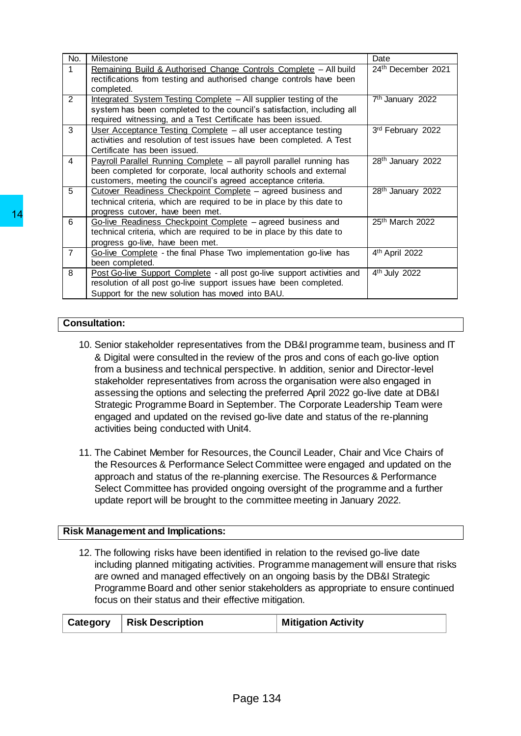|    | No.                                                                                                                                                                         | Milestone            |                                                                                                                                                                                                                                                                                                                                                                                                                                                                                                                                                                                                                                                                                                                                                                                                                                                                                                                                                                           |                            | Date                         |
|----|-----------------------------------------------------------------------------------------------------------------------------------------------------------------------------|----------------------|---------------------------------------------------------------------------------------------------------------------------------------------------------------------------------------------------------------------------------------------------------------------------------------------------------------------------------------------------------------------------------------------------------------------------------------------------------------------------------------------------------------------------------------------------------------------------------------------------------------------------------------------------------------------------------------------------------------------------------------------------------------------------------------------------------------------------------------------------------------------------------------------------------------------------------------------------------------------------|----------------------------|------------------------------|
|    | $\mathbf{1}$                                                                                                                                                                | completed.           | Remaining Build & Authorised Change Controls Complete - All build<br>rectifications from testing and authorised change controls have been                                                                                                                                                                                                                                                                                                                                                                                                                                                                                                                                                                                                                                                                                                                                                                                                                                 |                            | 24th December 2021           |
|    | $\overline{2}$                                                                                                                                                              |                      | Integrated System Testing Complete - All supplier testing of the<br>system has been completed to the council's satisfaction, including all<br>required witnessing, and a Test Certificate has been issued.                                                                                                                                                                                                                                                                                                                                                                                                                                                                                                                                                                                                                                                                                                                                                                |                            | 7 <sup>th</sup> January 2022 |
|    | 3<br>User Acceptance Testing Complete - all user acceptance testing<br>activities and resolution of test issues have been completed. A Test<br>Certificate has been issued. |                      |                                                                                                                                                                                                                                                                                                                                                                                                                                                                                                                                                                                                                                                                                                                                                                                                                                                                                                                                                                           | 3rd February 2022          |                              |
|    | $\overline{4}$                                                                                                                                                              |                      | Payroll Parallel Running Complete - all payroll parallel running has<br>been completed for corporate, local authority schools and external<br>customers, meeting the council's agreed acceptance criteria.                                                                                                                                                                                                                                                                                                                                                                                                                                                                                                                                                                                                                                                                                                                                                                |                            | 28th January 2022            |
| 14 | $\overline{5}$                                                                                                                                                              |                      | Cutover Readiness Checkpoint Complete - agreed business and<br>technical criteria, which are required to be in place by this date to<br>progress cutover, have been met.                                                                                                                                                                                                                                                                                                                                                                                                                                                                                                                                                                                                                                                                                                                                                                                                  |                            | 28th January 2022            |
|    | 6                                                                                                                                                                           |                      | Go-live Readiness Checkpoint Complete - agreed business and<br>technical criteria, which are required to be in place by this date to<br>progress go-live, have been met.                                                                                                                                                                                                                                                                                                                                                                                                                                                                                                                                                                                                                                                                                                                                                                                                  |                            | 25th March 2022              |
|    | $\overline{7}$                                                                                                                                                              |                      | Go-live Complete - the final Phase Two implementation go-live has<br>been completed.                                                                                                                                                                                                                                                                                                                                                                                                                                                                                                                                                                                                                                                                                                                                                                                                                                                                                      |                            | 4th April 2022               |
|    | 8                                                                                                                                                                           |                      | Post Go-live Support Complete - all post go-live support activities and<br>resolution of all post go-live support issues have been completed.<br>Support for the new solution has moved into BAU.                                                                                                                                                                                                                                                                                                                                                                                                                                                                                                                                                                                                                                                                                                                                                                         |                            | 4 <sup>th</sup> July 2022    |
|    |                                                                                                                                                                             |                      |                                                                                                                                                                                                                                                                                                                                                                                                                                                                                                                                                                                                                                                                                                                                                                                                                                                                                                                                                                           |                            |                              |
|    |                                                                                                                                                                             | <b>Consultation:</b> |                                                                                                                                                                                                                                                                                                                                                                                                                                                                                                                                                                                                                                                                                                                                                                                                                                                                                                                                                                           |                            |                              |
|    |                                                                                                                                                                             |                      | & Digital were consulted in the review of the pros and cons of each go-live option<br>from a business and technical perspective. In addition, senior and Director-level<br>stakeholder representatives from across the organisation were also engaged in<br>assessing the options and selecting the preferred April 2022 go-live date at DB&I<br>Strategic Programme Board in September. The Corporate Leadership Team were<br>engaged and updated on the revised go-live date and status of the re-planning<br>activities being conducted with Unit4.<br>11. The Cabinet Member for Resources, the Council Leader, Chair and Vice Chairs of<br>the Resources & Performance Select Committee were engaged and updated on the<br>approach and status of the re-planning exercise. The Resources & Performance<br>Select Committee has provided ongoing oversight of the programme and a further<br>update report will be brought to the committee meeting in January 2022. |                            |                              |
|    |                                                                                                                                                                             |                      | <b>Risk Management and Implications:</b>                                                                                                                                                                                                                                                                                                                                                                                                                                                                                                                                                                                                                                                                                                                                                                                                                                                                                                                                  |                            |                              |
|    |                                                                                                                                                                             |                      | 12. The following risks have been identified in relation to the revised go-live date<br>including planned mitigating activities. Programme management will ensure that risks<br>are owned and managed effectively on an ongoing basis by the DB&I Strategic<br>Programme Board and other senior stakeholders as appropriate to ensure continued<br>focus on their status and their effective mitigation.                                                                                                                                                                                                                                                                                                                                                                                                                                                                                                                                                                  |                            |                              |
|    |                                                                                                                                                                             | Category             | <b>Risk Description</b>                                                                                                                                                                                                                                                                                                                                                                                                                                                                                                                                                                                                                                                                                                                                                                                                                                                                                                                                                   | <b>Mitigation Activity</b> |                              |
|    |                                                                                                                                                                             |                      | Page 134                                                                                                                                                                                                                                                                                                                                                                                                                                                                                                                                                                                                                                                                                                                                                                                                                                                                                                                                                                  |                            |                              |

# **Consultation:**

- 10. Senior stakeholder representatives from the DB&I programme team, business and IT & Digital were consulted in the review of the pros and cons of each go-live option from a business and technical perspective. In addition, senior and Director-level stakeholder representatives from across the organisation were also engaged in assessing the options and selecting the preferred April 2022 go-live date at DB&I Strategic Programme Board in September. The Corporate Leadership Team were engaged and updated on the revised go-live date and status of the re-planning activities being conducted with Unit4.
- 11. The Cabinet Member for Resources, the Council Leader, Chair and Vice Chairs of the Resources & Performance Select Committee were engaged and updated on the approach and status of the re-planning exercise. The Resources & Performance Select Committee has provided ongoing oversight of the programme and a further update report will be brought to the committee meeting in January 2022.

## **Risk Management and Implications:**

|  | Category   Risk Description | <b>Mitigation Activity</b> |
|--|-----------------------------|----------------------------|
|--|-----------------------------|----------------------------|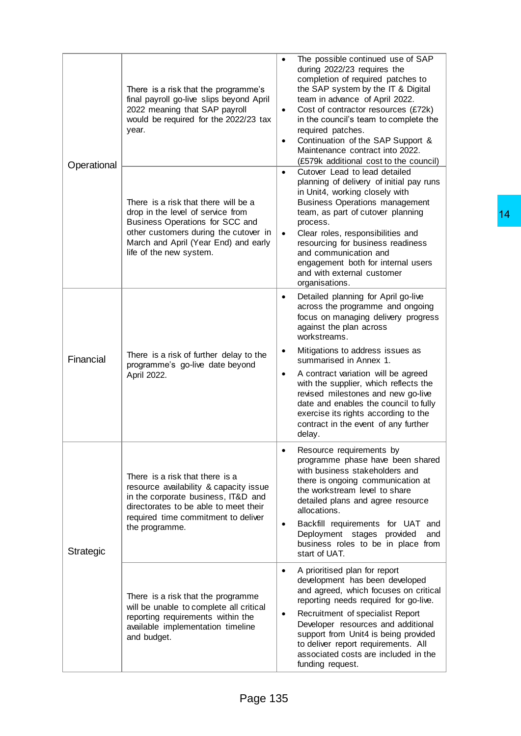| Operational | There is a risk that the programme's<br>final payroll go-live slips beyond April<br>2022 meaning that SAP payroll<br>would be required for the 2022/23 tax<br>year.                                                      | The possible continued use of SAP<br>$\bullet$<br>during 2022/23 requires the<br>completion of required patches to<br>the SAP system by the IT & Digital<br>team in advance of April 2022.<br>Cost of contractor resources (£72k)<br>$\bullet$<br>in the council's team to complete the<br>required patches.<br>Continuation of the SAP Support &<br>$\bullet$<br>Maintenance contract into 2022.<br>(£579k additional cost to the council)                                                                             |    |
|-------------|--------------------------------------------------------------------------------------------------------------------------------------------------------------------------------------------------------------------------|-------------------------------------------------------------------------------------------------------------------------------------------------------------------------------------------------------------------------------------------------------------------------------------------------------------------------------------------------------------------------------------------------------------------------------------------------------------------------------------------------------------------------|----|
|             | There is a risk that there will be a<br>drop in the level of service from<br>Business Operations for SCC and<br>other customers during the cutover in<br>March and April (Year End) and early<br>life of the new system. | Cutover Lead to lead detailed<br>$\bullet$<br>planning of delivery of initial pay runs<br>in Unit4, working closely with<br><b>Business Operations management</b><br>team, as part of cutover planning<br>process.<br>Clear roles, responsibilities and<br>$\bullet$<br>resourcing for business readiness<br>and communication and<br>engagement both for internal users<br>and with external customer<br>organisations.                                                                                                | 14 |
| Financial   | There is a risk of further delay to the<br>programme's go-live date beyond<br>April 2022.                                                                                                                                | Detailed planning for April go-live<br>$\bullet$<br>across the programme and ongoing<br>focus on managing delivery progress<br>against the plan across<br>workstreams.<br>Mitigations to address issues as<br>$\bullet$<br>summarised in Annex 1.<br>A contract variation will be agreed<br>$\bullet$<br>with the supplier, which reflects the<br>revised milestones and new go-live<br>date and enables the council to fully<br>exercise its rights according to the<br>contract in the event of any further<br>delay. |    |
| Strategic   | There is a risk that there is a<br>resource availability & capacity issue<br>in the corporate business, IT&D and<br>directorates to be able to meet their<br>required time commitment to deliver<br>the programme.       | Resource requirements by<br>programme phase have been shared<br>with business stakeholders and<br>there is ongoing communication at<br>the workstream level to share<br>detailed plans and agree resource<br>allocations.<br>Backfill requirements for UAT and<br>Deployment stages provided<br>and<br>business roles to be in place from<br>start of UAT.                                                                                                                                                              |    |
|             | There is a risk that the programme<br>will be unable to complete all critical<br>reporting requirements within the<br>available implementation timeline<br>and budget.                                                   | A prioritised plan for report<br>$\bullet$<br>development has been developed<br>and agreed, which focuses on critical<br>reporting needs required for go-live.<br>Recruitment of specialist Report<br>$\bullet$<br>Developer resources and additional<br>support from Unit4 is being provided<br>to deliver report requirements. All<br>associated costs are included in the<br>funding request.                                                                                                                        |    |
|             | Page 135                                                                                                                                                                                                                 |                                                                                                                                                                                                                                                                                                                                                                                                                                                                                                                         |    |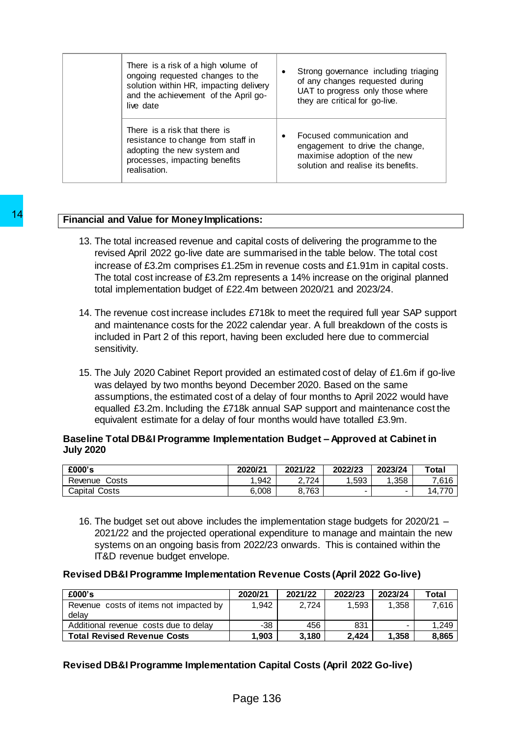| There is a risk of a high volume of<br>ongoing requested changes to the<br>solution within HR, impacting delivery<br>and the achievement of the April go-<br>live date |           | Strong governance including triaging<br>of any changes requested during<br>UAT to progress only those where<br>they are critical for go-live. |
|------------------------------------------------------------------------------------------------------------------------------------------------------------------------|-----------|-----------------------------------------------------------------------------------------------------------------------------------------------|
| There is a risk that there is<br>resistance to change from staff in<br>adopting the new system and<br>processes, impacting benefits<br>realisation.                    | $\bullet$ | Focused communication and<br>engagement to drive the change,<br>maximise adoption of the new<br>solution and realise its benefits.            |

# **Financial and Value for Money Implications:**

- 13. The total increased revenue and capital costs of delivering the programme to the revised April 2022 go-live date are summarised in the table below. The total cost increase of £3.2m comprises £1.25m in revenue costs and £1.91m in capital costs. The total cost increase of £3.2m represents a 14% increase on the original planned total implementation budget of £22.4m between 2020/21 and 2023/24.
- 14. The revenue cost increase includes £718k to meet the required full year SAP support and maintenance costs for the 2022 calendar year. A full breakdown of the costs is included in Part 2 of this report, having been excluded here due to commercial sensitivity.
- 15. The July 2020 Cabinet Report provided an estimated cost of delay of £1.6m if go-live was delayed by two months beyond December 2020. Based on the same assumptions, the estimated cost of a delay of four months to April 2022 would have equalled £3.2m. Including the £718k annual SAP support and maintenance cost the equivalent estimate for a delay of four months would have totalled £3.9m. **Financial and Value for Money Implications:**<br>
13. The total increased revenue and capital cos<br>
revised April 2022 go-live date are summaring<br>
increase of £3.2m comprises £1.25m in revise<br>
14. The total cost increase of £

## **Baseline Total DB&I Programme Implementation Budget – Approved at Cabinet in July 2020**

| £000's           | 2020/21 | 2021/22   | 2022/23 | 2023/24 | Total       |
|------------------|---------|-----------|---------|---------|-------------|
| Revenue<br>Costs | 1.942   | 724       | .593    | .358    | 7,616       |
| Capital<br>Costs | 6,008   | 763<br>ο. | -       | -       | 770<br>14.1 |

16. The budget set out above includes the implementation stage budgets for 2020/21 – 2021/22 and the projected operational expenditure to manage and maintain the new systems on an ongoing basis from 2022/23 onwards. This is contained within the IT&D revenue budget envelope.

## **Revised DB&I Programme Implementation Revenue Costs (April 2022 Go-live)**

| £000's                                          | 2020/21 | 2021/22 | 2022/23 | 2023/24 | Total |
|-------------------------------------------------|---------|---------|---------|---------|-------|
| Revenue costs of items not impacted by<br>delav | 1.942   | 2.724   | 1.593   | 1.358   | 7.616 |
| Additional revenue costs due to delay           | $-38$   | 456     | 831     | -       | 1.249 |
| <b>Total Revised Revenue Costs</b>              | 1.903   | 3.180   | 2.424   | 1.358   | 8,865 |

# **Revised DB&I Programme Implementation Capital Costs (April 2022 Go-live)**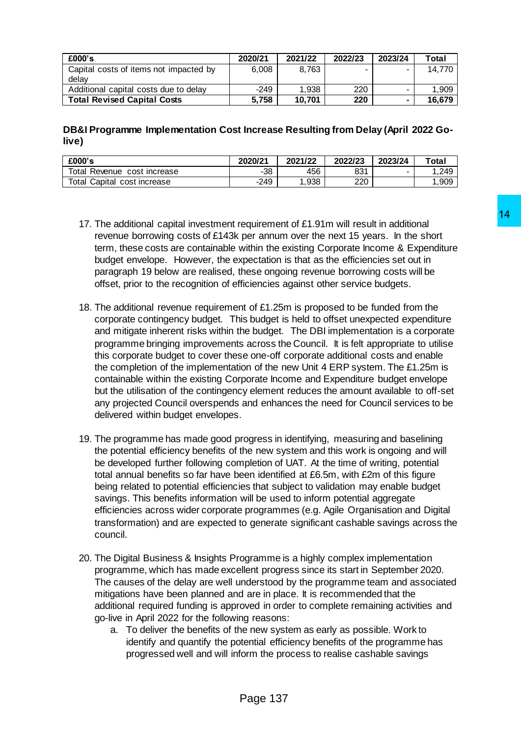| £000's                                          | 2020/21 | 2021/22 | 2022/23 | 2023/24                  | Total  |
|-------------------------------------------------|---------|---------|---------|--------------------------|--------|
| Capital costs of items not impacted by<br>delav | 6.008   | 8.763   | -       |                          | 14.770 |
| Additional capital costs due to delay           | $-249$  | 1.938   | 220     | $\overline{\phantom{0}}$ | 1.909  |
| <b>Total Revised Capital Costs</b>              | 5,758   | 10.701  | 220     | $\blacksquare$           | 16.679 |

**DB&I Programme Implementation Cost Increase Resulting from Delay (April 2022 Golive)**

| £000's                                | 2020/21 | 2021/22 | 2022/23 | 2023/24 | Total |
|---------------------------------------|---------|---------|---------|---------|-------|
| <b>Total Revenue</b><br>cost increase | -38     | 456     | 831     | -       | .249  |
| Total Capital cost increase           | $-249$  | .938    | 220     |         | ,909  |

- 17. The additional capital investment requirement of £1.91m will result in additional revenue borrowing costs of £143k per annum over the next 15 years. In the short term, these costs are containable within the existing Corporate Income & Expenditure budget envelope. However, the expectation is that as the efficiencies set out in paragraph 19 below are realised, these ongoing revenue borrowing costs will be offset, prior to the recognition of efficiencies against other service budgets.
- 18. The additional revenue requirement of £1.25m is proposed to be funded from the corporate contingency budget. This budget is held to offset unexpected expenditure and mitigate inherent risks within the budget. The DBI implementation is a corporate programme bringing improvements across the Council. It is felt appropriate to utilise this corporate budget to cover these one-off corporate additional costs and enable the completion of the implementation of the new Unit 4 ERP system. The £1.25m is containable within the existing Corporate Income and Expenditure budget envelope but the utilisation of the contingency element reduces the amount available to off-set any projected Council overspends and enhances the need for Council services to be delivered within budget envelopes. requirement of £1.91m will result in additional<br>per annum over the next 15 years. In the short<br>within the existing Corporate hocone & Expenditure<br>specialion is that as the efficiencies set out in<br>these orogion revenue borr
- 19. The programme has made good progress in identifying, measuring and baselining the potential efficiency benefits of the new system and this work is ongoing and will be developed further following completion of UAT. At the time of writing, potential total annual benefits so far have been identified at £6.5m, with £2m of this figure being related to potential efficiencies that subject to validation may enable budget savings. This benefits information will be used to inform potential aggregate efficiencies across wider corporate programmes (e.g. Agile Organisation and Digital transformation) and are expected to generate significant cashable savings across the council.
- 20. The Digital Business & Insights Programme is a highly complex implementation programme, which has made excellent progress since its start in September 2020. The causes of the delay are well understood by the programme team and associated mitigations have been planned and are in place. It is recommended that the additional required funding is approved in order to complete remaining activities and go-live in April 2022 for the following reasons:
	- a. To deliver the benefits of the new system as early as possible. Work to identify and quantify the potential efficiency benefits of the programme has progressed well and will inform the process to realise cashable savings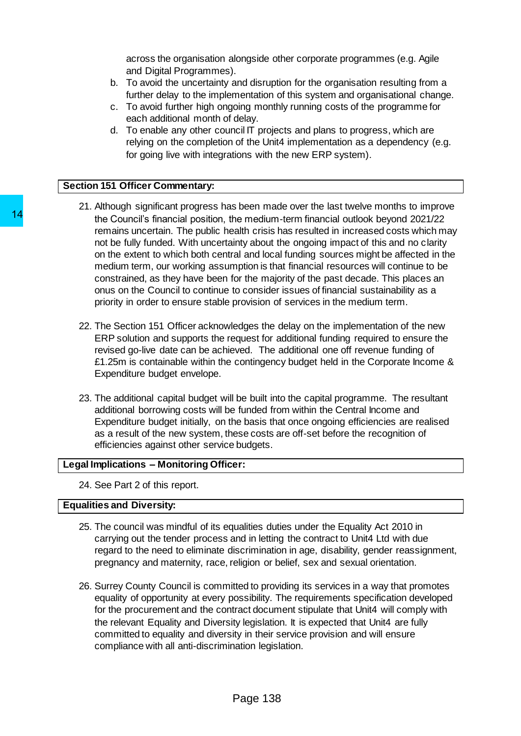across the organisation alongside other corporate programmes (e.g. Agile and Digital Programmes).

- b. To avoid the uncertainty and disruption for the organisation resulting from a further delay to the implementation of this system and organisational change.
- c. To avoid further high ongoing monthly running costs of the programme for each additional month of delay.
- d. To enable any other council IT projects and plans to progress, which are relying on the completion of the Unit4 implementation as a dependency (e.g. for going live with integrations with the new ERP system).

### **Section 151 Officer Commentary:**

- 21. Although significant progress has been made over the last twelve months to improve the Council's financial position, the medium-term financial outlook beyond 2021/22 remains uncertain. The public health crisis has resulted in increased costs which may not be fully funded. With uncertainty about the ongoing impact of this and no clarity on the extent to which both central and local funding sources might be affected in the medium term, our working assumption is that financial resources will continue to be constrained, as they have been for the majority of the past decade. This places an onus on the Council to continue to consider issues of financial sustainability as a priority in order to ensure stable provision of services in the medium term. 14<br>the Council's financial position, the medium-<br>remains uncertain. The public health crisis that the subset of the selvit to mether the which both central and local<br>on the extent to which both central and local<br>medium ter
	- 22. The Section 151 Officer acknowledges the delay on the implementation of the new ERP solution and supports the request for additional funding required to ensure the revised go-live date can be achieved. The additional one off revenue funding of £1.25m is containable within the contingency budget held in the Corporate Income & Expenditure budget envelope.
	- 23. The additional capital budget will be built into the capital programme. The resultant additional borrowing costs will be funded from within the Central Income and Expenditure budget initially, on the basis that once ongoing efficiencies are realised as a result of the new system, these costs are off-set before the recognition of efficiencies against other service budgets.

## **Legal Implications – Monitoring Officer:**

24. See Part 2 of this report.

# **Equalities and Diversity:**

- 25. The council was mindful of its equalities duties under the Equality Act 2010 in carrying out the tender process and in letting the contract to Unit4 Ltd with due regard to the need to eliminate discrimination in age, disability, gender reassignment, pregnancy and maternity, race, religion or belief, sex and sexual orientation.
- 26. Surrey County Council is committed to providing its services in a way that promotes equality of opportunity at every possibility. The requirements specification developed for the procurement and the contract document stipulate that Unit4 will comply with the relevant Equality and Diversity legislation. It is expected that Unit4 are fully committed to equality and diversity in their service provision and will ensure compliance with all anti-discrimination legislation.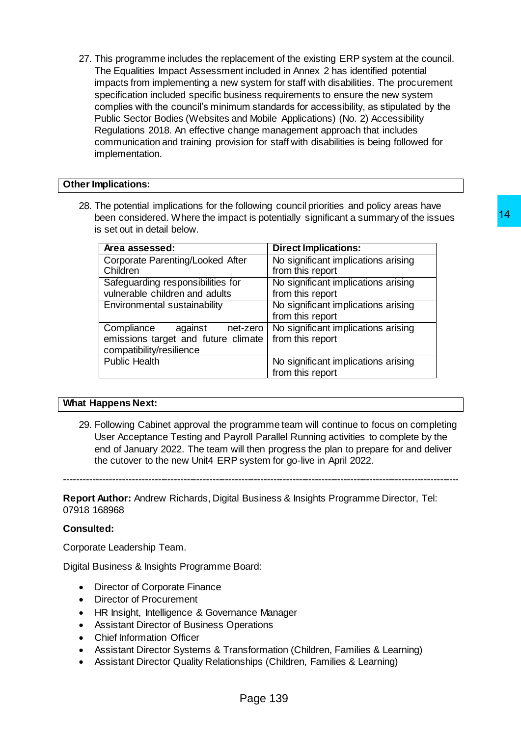27. This programme includes the replacement of the existing ERP system at the council. The Equalities Impact Assessment included in Annex 2 has identified potential impacts from implementing a new system for staff with disabilities. The procurement specification included specific business requirements to ensure the new system complies with the council's minimum standards for accessibility, as stipulated by the Public Sector Bodies (Websites and Mobile Applications) (No. 2) Accessibility Regulations 2018. An effective change management approach that includes communication and training provision for staff with disabilities is being followed for implementation.

### **Other Implications:**

28. The potential implications for the following council priorities and policy areas have been considered. Where the impact is potentially significant a summary of the issues is set out in detail below.

|                                                                                                                                                                                                                                                                                                                                                     | 14<br>een considered. Where the impact is potentially significant a summary of the issues |
|-----------------------------------------------------------------------------------------------------------------------------------------------------------------------------------------------------------------------------------------------------------------------------------------------------------------------------------------------------|-------------------------------------------------------------------------------------------|
| s set out in detail below.                                                                                                                                                                                                                                                                                                                          |                                                                                           |
| Area assessed:                                                                                                                                                                                                                                                                                                                                      | <b>Direct Implications:</b>                                                               |
| Corporate Parenting/Looked After<br>Children                                                                                                                                                                                                                                                                                                        | No significant implications arising<br>from this report                                   |
| Safeguarding responsibilities for<br>vulnerable children and adults                                                                                                                                                                                                                                                                                 | No significant implications arising<br>from this report                                   |
| Environmental sustainability                                                                                                                                                                                                                                                                                                                        | No significant implications arising<br>from this report                                   |
| Compliance<br>against<br>net-zero<br>emissions target and future climate<br>compatibility/resilience                                                                                                                                                                                                                                                | No significant implications arising<br>from this report                                   |
| <b>Public Health</b>                                                                                                                                                                                                                                                                                                                                | No significant implications arising<br>from this report                                   |
|                                                                                                                                                                                                                                                                                                                                                     |                                                                                           |
| appens Next:                                                                                                                                                                                                                                                                                                                                        |                                                                                           |
| 68968                                                                                                                                                                                                                                                                                                                                               | <b>Author:</b> Andrew Richards, Digital Business & Insights Programme Director, Tel:      |
| ed:                                                                                                                                                                                                                                                                                                                                                 |                                                                                           |
| te Leadership Team.                                                                                                                                                                                                                                                                                                                                 |                                                                                           |
| usiness & Insights Programme Board:                                                                                                                                                                                                                                                                                                                 |                                                                                           |
| Director of Corporate Finance<br>Director of Procurement<br>IR Insight, Intelligence & Governance Manager<br><b>Assistant Director of Business Operations</b><br>Chief Information Officer<br>ssistant Director Systems & Transformation (Children, Families & Learning)<br>ssistant Director Quality Relationships (Children, Families & Learning) |                                                                                           |
| Page 139                                                                                                                                                                                                                                                                                                                                            |                                                                                           |

#### **What Happens Next:**

29. Following Cabinet approval the programme team will continue to focus on completing User Acceptance Testing and Payroll Parallel Running activities to complete by the end of January 2022. The team will then progress the plan to prepare for and deliver the cutover to the new Unit4 ERP system for go-live in April 2022.

---------------------------------------------------------------------------------------------------------------------------

**Report Author:** Andrew Richards, Digital Business & Insights Programme Director, Tel: 07918 168968

#### **Consulted:**

Corporate Leadership Team.

Digital Business & Insights Programme Board:

- Director of Corporate Finance
- Director of Procurement
- HR Insight, Intelligence & Governance Manager
- Assistant Director of Business Operations
- Chief Information Officer
- Assistant Director Systems & Transformation (Children, Families & Learning)
- Assistant Director Quality Relationships (Children, Families & Learning)